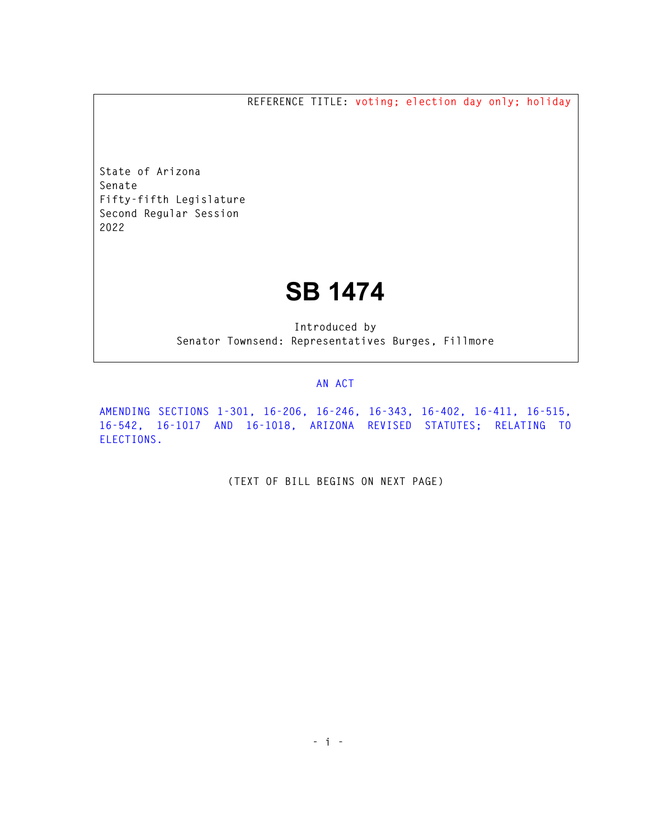**REFERENCE TITLE: voting; election day only; holiday** 

**State of Arizona Senate Fifty-fifth Legislature Second Regular Session 2022** 

## **SB 1474**

**Introduced by Senator Townsend: Representatives Burges, Fillmore** 

## **AN ACT**

**AMENDING SECTIONS 1-301, 16-206, 16-246, 16-343, 16-402, 16-411, 16-515, 16-542, 16-1017 AND 16-1018, ARIZONA REVISED STATUTES; RELATING TO ELECTIONS.** 

**(TEXT OF BILL BEGINS ON NEXT PAGE)**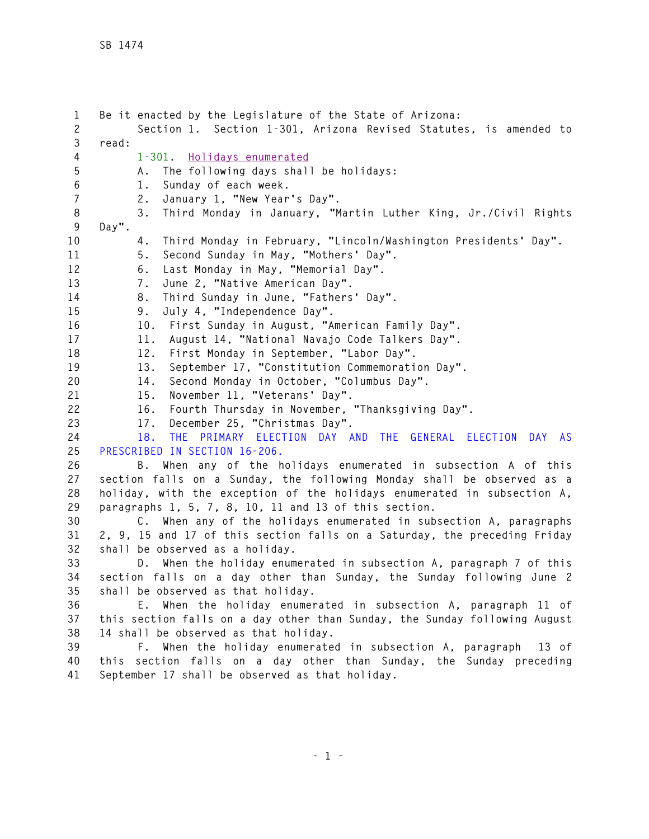**1 Be it enacted by the Legislature of the State of Arizona: 2 Section 1. Section 1-301, Arizona Revised Statutes, is amended to 3 read: 4 1-301. Holidays enumerated 5 A. The following days shall be holidays: 6 1. Sunday of each week. 7 2. January 1, "New Year's Day". 8 3. Third Monday in January, "Martin Luther King, Jr./Civil Rights 9 Day". 10 4. Third Monday in February, "Lincoln/Washington Presidents' Day". 11 5. Second Sunday in May, "Mothers' Day". 12 6. Last Monday in May, "Memorial Day". 13 7. June 2, "Native American Day". 14 8. Third Sunday in June, "Fathers' Day". 15 9. July 4, "Independence Day". 16 10. First Sunday in August, "American Family Day". 17 11. August 14, "National Navajo Code Talkers Day". 18 12. First Monday in September, "Labor Day". 19 13. September 17, "Constitution Commemoration Day". 20 14. Second Monday in October, "Columbus Day". 21 15. November 11, "Veterans' Day". 22 16. Fourth Thursday in November, "Thanksgiving Day". 23 17. December 25, "Christmas Day". 24 18. THE PRIMARY ELECTION DAY AND THE GENERAL ELECTION DAY AS 25 PRESCRIBED IN SECTION 16-206. 26 B. When any of the holidays enumerated in subsection A of this 27 section falls on a Sunday, the following Monday shall be observed as a 28 holiday, with the exception of the holidays enumerated in subsection A, 29 paragraphs 1, 5, 7, 8, 10, 11 and 13 of this section. 30 C. When any of the holidays enumerated in subsection A, paragraphs 31 2, 9, 15 and 17 of this section falls on a Saturday, the preceding Friday 32 shall be observed as a holiday. 33 D. When the holiday enumerated in subsection A, paragraph 7 of this 34 section falls on a day other than Sunday, the Sunday following June 2 35 shall be observed as that holiday. 36 E. When the holiday enumerated in subsection A, paragraph 11 of 37 this section falls on a day other than Sunday, the Sunday following August 38 14 shall be observed as that holiday. 39 F. When the holiday enumerated in subsection A, paragraph 13 of 40 this section falls on a day other than Sunday, the Sunday preceding 41 September 17 shall be observed as that holiday.**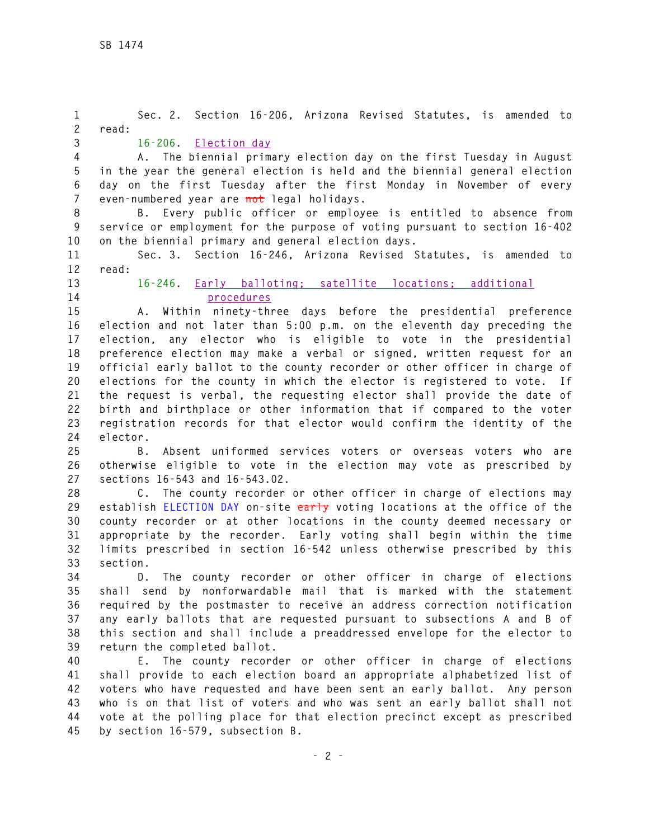**1 Sec. 2. Section 16-206, Arizona Revised Statutes, is amended to 2 read: 3 16-206. Election day 4 A. The biennial primary election day on the first Tuesday in August 5 in the year the general election is held and the biennial general election 6 day on the first Tuesday after the first Monday in November of every 7 even-numbered year are not legal holidays. 8 B. Every public officer or employee is entitled to absence from 9 service or employment for the purpose of voting pursuant to section 16-402 10 on the biennial primary and general election days. 11 Sec. 3. Section 16-246, Arizona Revised Statutes, is amended to 12 read: 13 16-246. Early balloting; satellite locations; additional 14 procedures 15 A. Within ninety-three days before the presidential preference 16 election and not later than 5:00 p.m. on the eleventh day preceding the 17 election, any elector who is eligible to vote in the presidential 18 preference election may make a verbal or signed, written request for an 19 official early ballot to the county recorder or other officer in charge of 20 elections for the county in which the elector is registered to vote. If 21 the request is verbal, the requesting elector shall provide the date of 22 birth and birthplace or other information that if compared to the voter 23 registration records for that elector would confirm the identity of the 24 elector. 25 B. Absent uniformed services voters or overseas voters who are 26 otherwise eligible to vote in the election may vote as prescribed by 27 sections 16-543 and 16-543.02. 28 C. The county recorder or other officer in charge of elections may 29 establish ELECTION DAY on-site early voting locations at the office of the 30 county recorder or at other locations in the county deemed necessary or 31 appropriate by the recorder. Early voting shall begin within the time 32 limits prescribed in section 16-542 unless otherwise prescribed by this 33 section. 34 D. The county recorder or other officer in charge of elections 35 shall send by nonforwardable mail that is marked with the statement 36 required by the postmaster to receive an address correction notification 37 any early ballots that are requested pursuant to subsections A and B of 38 this section and shall include a preaddressed envelope for the elector to 39 return the completed ballot. 40 E. The county recorder or other officer in charge of elections 41 shall provide to each election board an appropriate alphabetized list of 42 voters who have requested and have been sent an early ballot. Any person 43 who is on that list of voters and who was sent an early ballot shall not 44 vote at the polling place for that election precinct except as prescribed 45 by section 16-579, subsection B.**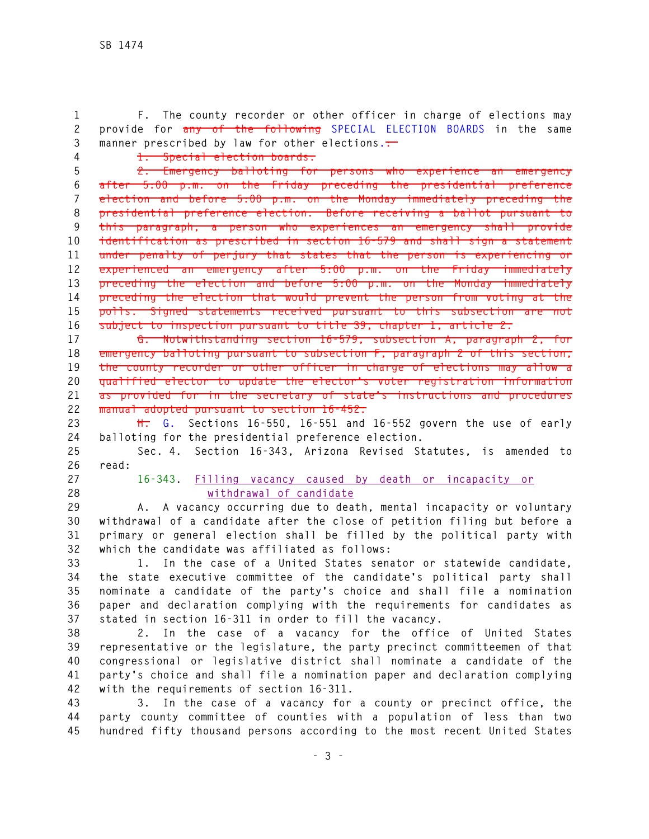**1 F. The county recorder or other officer in charge of elections may 2 provide for any of the following SPECIAL ELECTION BOARDS in the same 3 manner prescribed by law for other elections.:** 

**4 1. Special election boards.** 

**5 2. Emergency balloting for persons who experience an emergency 6 after 5:00 p.m. on the Friday preceding the presidential preference 7 election and before 5:00 p.m. on the Monday immediately preceding the 8 presidential preference election. Before receiving a ballot pursuant to 9 this paragraph, a person who experiences an emergency shall provide 10 identification as prescribed in section 16-579 and shall sign a statement 11 under penalty of perjury that states that the person is experiencing or 12 experienced an emergency after 5:00 p.m. on the Friday immediately 13 preceding the election and before 5:00 p.m. on the Monday immediately 14 preceding the election that would prevent the person from voting at the 15 polls. Signed statements received pursuant to this subsection are not 16 subject to inspection pursuant to title 39, chapter 1, article 2.** 

**17 G. Notwithstanding section 16-579, subsection A, paragraph 2, for 18 emergency balloting pursuant to subsection F, paragraph 2 of this section, 19 the county recorder or other officer in charge of elections may allow a 20 qualified elector to update the elector's voter registration information 21 as provided for in the secretary of state's instructions and procedures 22 manual adopted pursuant to section 16-452.**

**23 H. G. Sections 16-550, 16-551 and 16-552 govern the use of early 24 balloting for the presidential preference election.** 

**25 Sec. 4. Section 16-343, Arizona Revised Statutes, is amended to 26 read:** 

**27 16-343. Filling vacancy caused by death or incapacity or 28 withdrawal of candidate**

**29 A. A vacancy occurring due to death, mental incapacity or voluntary 30 withdrawal of a candidate after the close of petition filing but before a 31 primary or general election shall be filled by the political party with 32 which the candidate was affiliated as follows:** 

**33 1. In the case of a United States senator or statewide candidate, 34 the state executive committee of the candidate's political party shall 35 nominate a candidate of the party's choice and shall file a nomination 36 paper and declaration complying with the requirements for candidates as 37 stated in section 16-311 in order to fill the vacancy.** 

**38 2. In the case of a vacancy for the office of United States 39 representative or the legislature, the party precinct committeemen of that 40 congressional or legislative district shall nominate a candidate of the 41 party's choice and shall file a nomination paper and declaration complying 42 with the requirements of section 16-311.** 

**43 3. In the case of a vacancy for a county or precinct office, the 44 party county committee of counties with a population of less than two 45 hundred fifty thousand persons according to the most recent United States**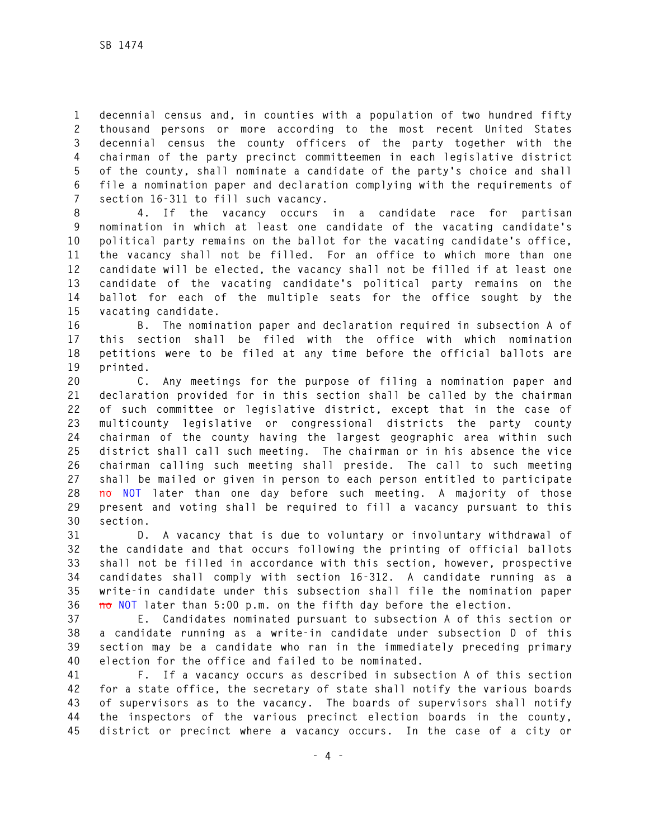**1 decennial census and, in counties with a population of two hundred fifty 2 thousand persons or more according to the most recent United States 3 decennial census the county officers of the party together with the 4 chairman of the party precinct committeemen in each legislative district 5 of the county, shall nominate a candidate of the party's choice and shall 6 file a nomination paper and declaration complying with the requirements of 7 section 16-311 to fill such vacancy.** 

**8 4. If the vacancy occurs in a candidate race for partisan 9 nomination in which at least one candidate of the vacating candidate's 10 political party remains on the ballot for the vacating candidate's office, 11 the vacancy shall not be filled. For an office to which more than one 12 candidate will be elected, the vacancy shall not be filled if at least one 13 candidate of the vacating candidate's political party remains on the 14 ballot for each of the multiple seats for the office sought by the 15 vacating candidate.** 

**16 B. The nomination paper and declaration required in subsection A of 17 this section shall be filed with the office with which nomination 18 petitions were to be filed at any time before the official ballots are 19 printed.** 

**20 C. Any meetings for the purpose of filing a nomination paper and 21 declaration provided for in this section shall be called by the chairman 22 of such committee or legislative district, except that in the case of 23 multicounty legislative or congressional districts the party county 24 chairman of the county having the largest geographic area within such 25 district shall call such meeting. The chairman or in his absence the vice 26 chairman calling such meeting shall preside. The call to such meeting 27 shall be mailed or given in person to each person entitled to participate 28 no NOT later than one day before such meeting. A majority of those 29 present and voting shall be required to fill a vacancy pursuant to this 30 section.** 

**31 D. A vacancy that is due to voluntary or involuntary withdrawal of 32 the candidate and that occurs following the printing of official ballots 33 shall not be filled in accordance with this section, however, prospective 34 candidates shall comply with section 16-312. A candidate running as a 35 write-in candidate under this subsection shall file the nomination paper 36 no NOT later than 5:00 p.m. on the fifth day before the election.** 

**37 E. Candidates nominated pursuant to subsection A of this section or 38 a candidate running as a write-in candidate under subsection D of this 39 section may be a candidate who ran in the immediately preceding primary 40 election for the office and failed to be nominated.** 

**41 F. If a vacancy occurs as described in subsection A of this section 42 for a state office, the secretary of state shall notify the various boards 43 of supervisors as to the vacancy. The boards of supervisors shall notify 44 the inspectors of the various precinct election boards in the county, 45 district or precinct where a vacancy occurs. In the case of a city or**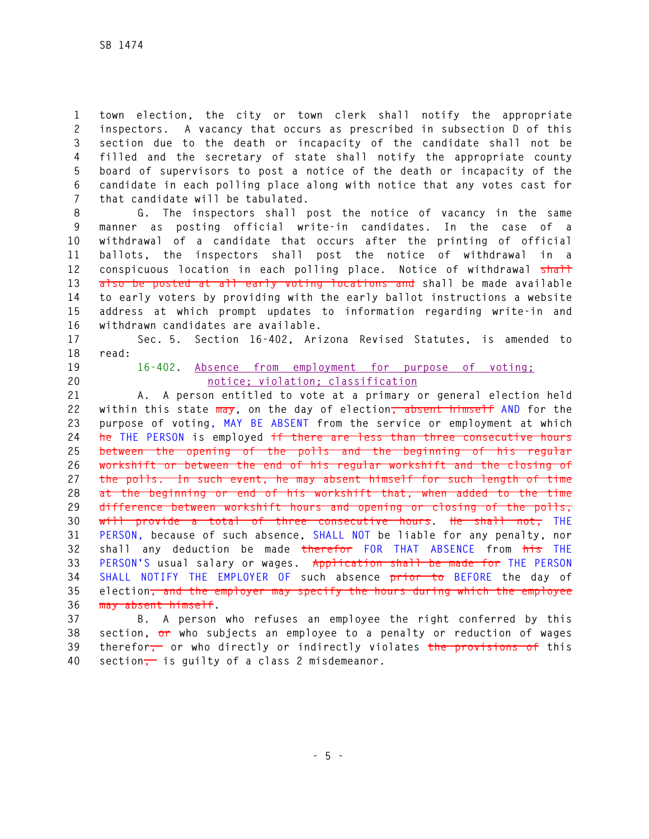**1 town election, the city or town clerk shall notify the appropriate 2 inspectors. A vacancy that occurs as prescribed in subsection D of this 3 section due to the death or incapacity of the candidate shall not be 4 filled and the secretary of state shall notify the appropriate county 5 board of supervisors to post a notice of the death or incapacity of the 6 candidate in each polling place along with notice that any votes cast for 7 that candidate will be tabulated.** 

**8 G. The inspectors shall post the notice of vacancy in the same 9 manner as posting official write-in candidates. In the case of a 10 withdrawal of a candidate that occurs after the printing of official 11 ballots, the inspectors shall post the notice of withdrawal in a 12 conspicuous location in each polling place. Notice of withdrawal shall 13 also be posted at all early voting locations and shall be made available 14 to early voters by providing with the early ballot instructions a website 15 address at which prompt updates to information regarding write-in and 16 withdrawn candidates are available.** 

**17 Sec. 5. Section 16-402, Arizona Revised Statutes, is amended to 18 read:** 

## **19 16-402. Absence from employment for purpose of voting; 20 notice; violation; classification**

**21 A. A person entitled to vote at a primary or general election held 22 within this state may, on the day of election, absent himself AND for the 23 purpose of voting, MAY BE ABSENT from the service or employment at which 24 he THE PERSON is employed if there are less than three consecutive hours 25 between the opening of the polls and the beginning of his regular 26 workshift or between the end of his regular workshift and the closing of 27 the polls. In such event, he may absent himself for such length of time 28 at the beginning or end of his workshift that, when added to the time 29 difference between workshift hours and opening or closing of the polls, 30 will provide a total of three consecutive hours. He shall not, THE 31 PERSON, because of such absence, SHALL NOT be liable for any penalty, nor 32 shall any deduction be made therefor FOR THAT ABSENCE from his THE 33 PERSON'S usual salary or wages. Application shall be made for THE PERSON 34 SHALL NOTIFY THE EMPLOYER OF such absence prior to BEFORE the day of 35 election, and the employer may specify the hours during which the employee 36 may absent himself.** 

**37 B. A person who refuses an employee the right conferred by this 38 section, or who subjects an employee to a penalty or reduction of wages 39 therefor, or who directly or indirectly violates the provisions of this 40 section, is guilty of a class 2 misdemeanor.**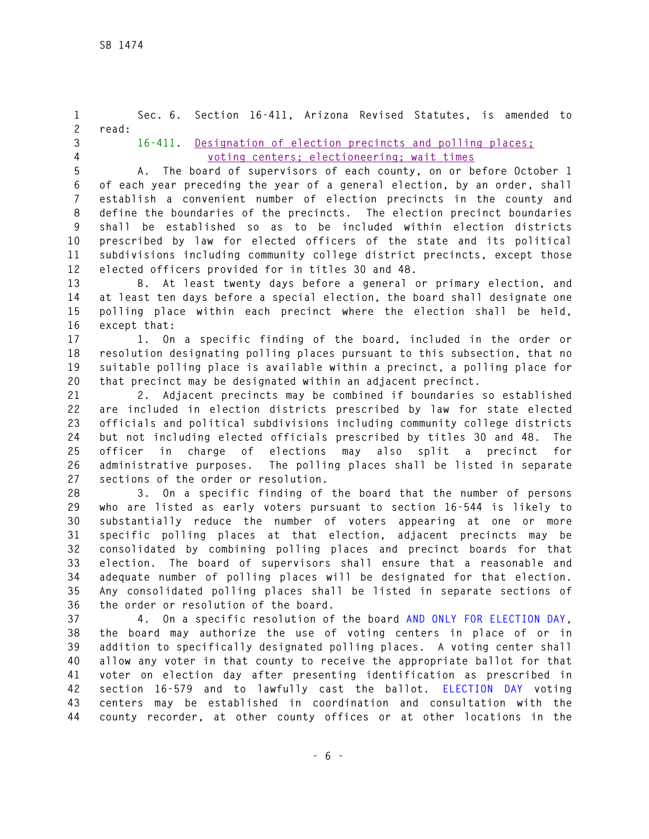**1 Sec. 6. Section 16-411, Arizona Revised Statutes, is amended to 2 read: 3 16-411. Designation of election precincts and polling places; 4 voting centers; electioneering; wait times 5 A. The board of supervisors of each county, on or before October 1 6 of each year preceding the year of a general election, by an order, shall 7 establish a convenient number of election precincts in the county and 8 define the boundaries of the precincts. The election precinct boundaries 9 shall be established so as to be included within election districts 10 prescribed by law for elected officers of the state and its political 11 subdivisions including community college district precincts, except those 12 elected officers provided for in titles 30 and 48. 13 B. At least twenty days before a general or primary election, and 14 at least ten days before a special election, the board shall designate one 15 polling place within each precinct where the election shall be held, 16 except that: 17 1. On a specific finding of the board, included in the order or 18 resolution designating polling places pursuant to this subsection, that no 19 suitable polling place is available within a precinct, a polling place for 20 that precinct may be designated within an adjacent precinct. 21 2. Adjacent precincts may be combined if boundaries so established 22 are included in election districts prescribed by law for state elected 23 officials and political subdivisions including community college districts 24 but not including elected officials prescribed by titles 30 and 48. The 25 officer in charge of elections may also split a precinct for 26 administrative purposes. The polling places shall be listed in separate 27 sections of the order or resolution. 28 3. On a specific finding of the board that the number of persons 29 who are listed as early voters pursuant to section 16-544 is likely to 30 substantially reduce the number of voters appearing at one or more 31 specific polling places at that election, adjacent precincts may be 32 consolidated by combining polling places and precinct boards for that 33 election. The board of supervisors shall ensure that a reasonable and 34 adequate number of polling places will be designated for that election. 35 Any consolidated polling places shall be listed in separate sections of 36 the order or resolution of the board.** 

**37 4. On a specific resolution of the board AND ONLY FOR ELECTION DAY, 38 the board may authorize the use of voting centers in place of or in 39 addition to specifically designated polling places. A voting center shall 40 allow any voter in that county to receive the appropriate ballot for that 41 voter on election day after presenting identification as prescribed in 42 section 16-579 and to lawfully cast the ballot. ELECTION DAY voting 43 centers may be established in coordination and consultation with the 44 county recorder, at other county offices or at other locations in the**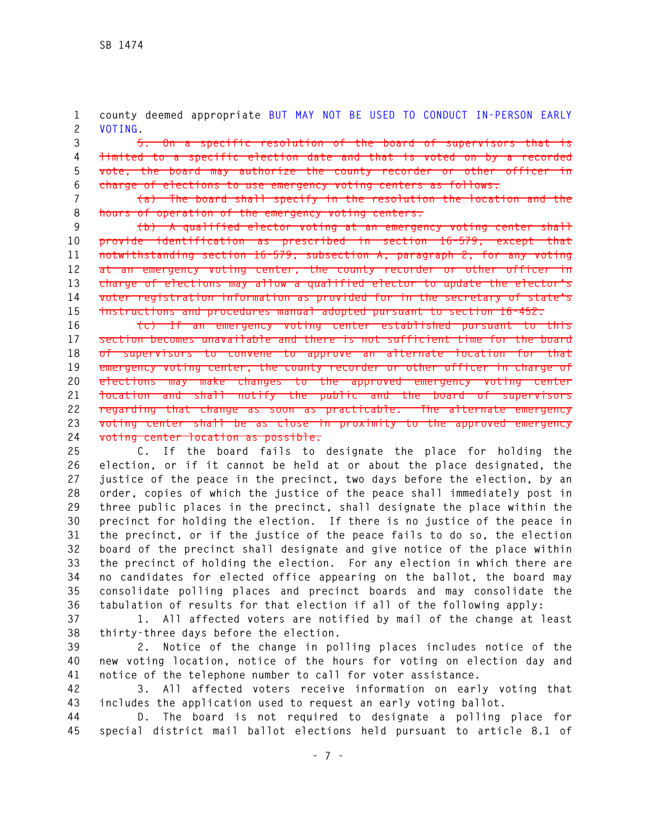**1 county deemed appropriate BUT MAY NOT BE USED TO CONDUCT IN-PERSON EARLY 2 VOTING.** 

**3 5. On a specific resolution of the board of supervisors that is 4 limited to a specific election date and that is voted on by a recorded 5 vote, the board may authorize the county recorder or other officer in 6 charge of elections to use emergency voting centers as follows:** 

**7 (a) The board shall specify in the resolution the location and the 8 hours of operation of the emergency voting centers.** 

**9 (b) A qualified elector voting at an emergency voting center shall 10 provide identification as prescribed in section 16-579, except that 11 notwithstanding section 16-579, subsection A, paragraph 2, for any voting 12 at an emergency voting center, the county recorder or other officer in 13 charge of elections may allow a qualified elector to update the elector's 14 voter registration information as provided for in the secretary of state's 15 instructions and procedures manual adopted pursuant to section 16-452.** 

**16 (c) If an emergency voting center established pursuant to this 17 section becomes unavailable and there is not sufficient time for the board 18 of supervisors to convene to approve an alternate location for that 19 emergency voting center, the county recorder or other officer in charge of 20 elections may make changes to the approved emergency voting center 21 location and shall notify the public and the board of supervisors 22 regarding that change as soon as practicable. The alternate emergency 23 voting center shall be as close in proximity to the approved emergency 24 voting center location as possible.** 

**25 C. If the board fails to designate the place for holding the 26 election, or if it cannot be held at or about the place designated, the 27 justice of the peace in the precinct, two days before the election, by an 28 order, copies of which the justice of the peace shall immediately post in 29 three public places in the precinct, shall designate the place within the 30 precinct for holding the election. If there is no justice of the peace in 31 the precinct, or if the justice of the peace fails to do so, the election 32 board of the precinct shall designate and give notice of the place within 33 the precinct of holding the election. For any election in which there are 34 no candidates for elected office appearing on the ballot, the board may 35 consolidate polling places and precinct boards and may consolidate the 36 tabulation of results for that election if all of the following apply:** 

**37 1. All affected voters are notified by mail of the change at least 38 thirty-three days before the election.** 

**39 2. Notice of the change in polling places includes notice of the 40 new voting location, notice of the hours for voting on election day and 41 notice of the telephone number to call for voter assistance.** 

**42 3. All affected voters receive information on early voting that 43 includes the application used to request an early voting ballot.** 

**44 D. The board is not required to designate a polling place for 45 special district mail ballot elections held pursuant to article 8.1 of**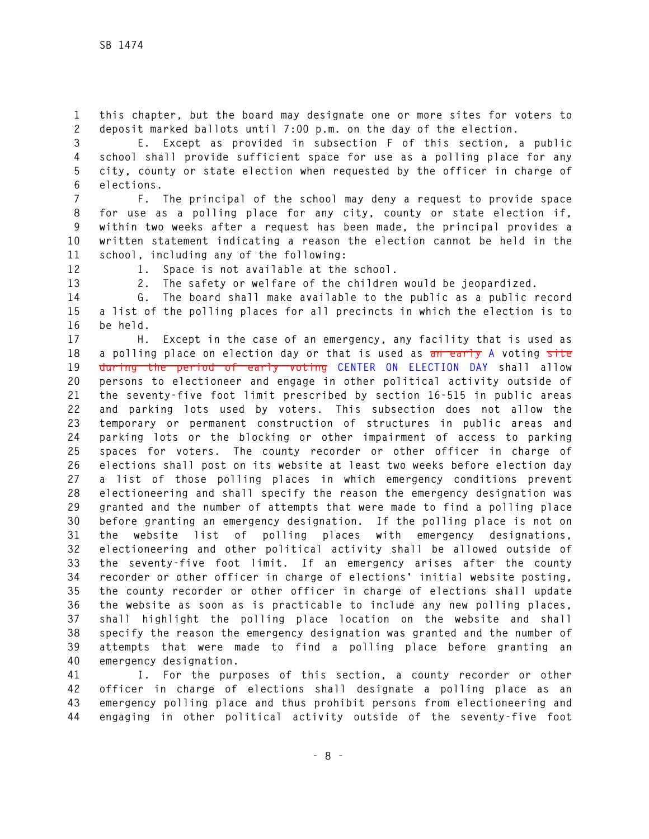**1 this chapter, but the board may designate one or more sites for voters to 2 deposit marked ballots until 7:00 p.m. on the day of the election.** 

**3 E. Except as provided in subsection F of this section, a public 4 school shall provide sufficient space for use as a polling place for any 5 city, county or state election when requested by the officer in charge of 6 elections.** 

**7 F. The principal of the school may deny a request to provide space 8 for use as a polling place for any city, county or state election if, 9 within two weeks after a request has been made, the principal provides a 10 written statement indicating a reason the election cannot be held in the 11 school, including any of the following:** 

**12 1. Space is not available at the school.** 

**13 2. The safety or welfare of the children would be jeopardized.** 

**14 G. The board shall make available to the public as a public record 15 a list of the polling places for all precincts in which the election is to 16 be held.** 

**17 H. Except in the case of an emergency, any facility that is used as 18 a polling place on election day or that is used as an early A voting site 19 during the period of early voting CENTER ON ELECTION DAY shall allow 20 persons to electioneer and engage in other political activity outside of 21 the seventy-five foot limit prescribed by section 16-515 in public areas 22 and parking lots used by voters. This subsection does not allow the 23 temporary or permanent construction of structures in public areas and 24 parking lots or the blocking or other impairment of access to parking 25 spaces for voters. The county recorder or other officer in charge of 26 elections shall post on its website at least two weeks before election day 27 a list of those polling places in which emergency conditions prevent 28 electioneering and shall specify the reason the emergency designation was 29 granted and the number of attempts that were made to find a polling place 30 before granting an emergency designation. If the polling place is not on 31 the website list of polling places with emergency designations, 32 electioneering and other political activity shall be allowed outside of 33 the seventy-five foot limit. If an emergency arises after the county 34 recorder or other officer in charge of elections' initial website posting, 35 the county recorder or other officer in charge of elections shall update 36 the website as soon as is practicable to include any new polling places, 37 shall highlight the polling place location on the website and shall 38 specify the reason the emergency designation was granted and the number of 39 attempts that were made to find a polling place before granting an 40 emergency designation.** 

**41 I. For the purposes of this section, a county recorder or other 42 officer in charge of elections shall designate a polling place as an 43 emergency polling place and thus prohibit persons from electioneering and 44 engaging in other political activity outside of the seventy-five foot**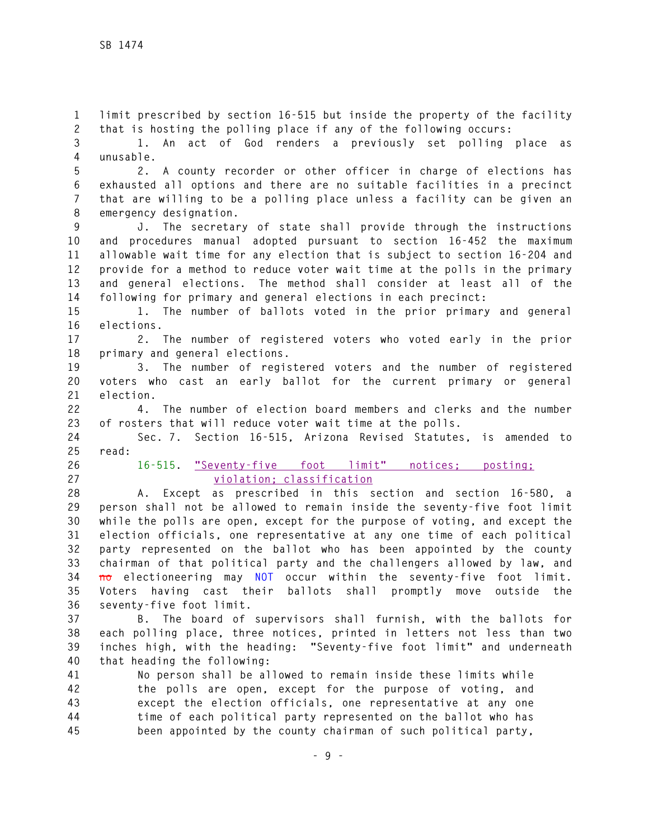**1 limit prescribed by section 16-515 but inside the property of the facility 2 that is hosting the polling place if any of the following occurs:** 

**3 1. An act of God renders a previously set polling place as 4 unusable.** 

**5 2. A county recorder or other officer in charge of elections has 6 exhausted all options and there are no suitable facilities in a precinct 7 that are willing to be a polling place unless a facility can be given an 8 emergency designation.** 

**9 J. The secretary of state shall provide through the instructions 10 and procedures manual adopted pursuant to section 16-452 the maximum 11 allowable wait time for any election that is subject to section 16-204 and 12 provide for a method to reduce voter wait time at the polls in the primary 13 and general elections. The method shall consider at least all of the 14 following for primary and general elections in each precinct:** 

**15 1. The number of ballots voted in the prior primary and general 16 elections.** 

**17 2. The number of registered voters who voted early in the prior 18 primary and general elections.** 

**19 3. The number of registered voters and the number of registered 20 voters who cast an early ballot for the current primary or general 21 election.** 

**22 4. The number of election board members and clerks and the number 23 of rosters that will reduce voter wait time at the polls.** 

**24 Sec. 7. Section 16-515, Arizona Revised Statutes, is amended to 25 read:** 

**26 16-515. "Seventy-five foot limit" notices; posting; 27 violation; classification**

**28 A. Except as prescribed in this section and section 16-580, a 29 person shall not be allowed to remain inside the seventy-five foot limit 30 while the polls are open, except for the purpose of voting, and except the 31 election officials, one representative at any one time of each political 32 party represented on the ballot who has been appointed by the county 33 chairman of that political party and the challengers allowed by law, and 34 no electioneering may NOT occur within the seventy-five foot limit. 35 Voters having cast their ballots shall promptly move outside the 36 seventy-five foot limit.** 

**37 B. The board of supervisors shall furnish, with the ballots for 38 each polling place, three notices, printed in letters not less than two 39 inches high, with the heading: "Seventy-five foot limit" and underneath 40 that heading the following:** 

**41 No person shall be allowed to remain inside these limits while 42 the polls are open, except for the purpose of voting, and 43 except the election officials, one representative at any one 44 time of each political party represented on the ballot who has 45 been appointed by the county chairman of such political party,**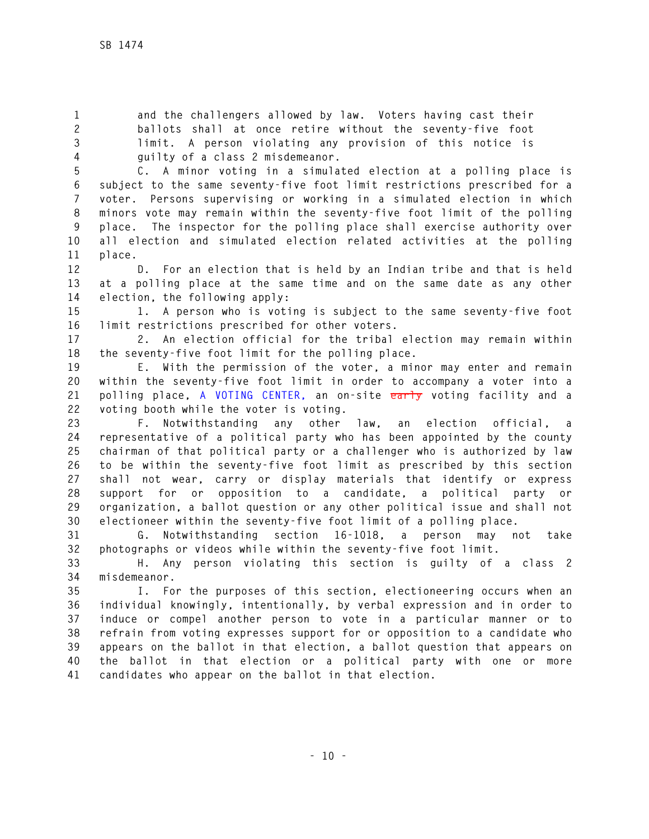**1 and the challengers allowed by law. Voters having cast their 2 ballots shall at once retire without the seventy-five foot 3 limit. A person violating any provision of this notice is 4 guilty of a class 2 misdemeanor.** 

**5 C. A minor voting in a simulated election at a polling place is 6 subject to the same seventy-five foot limit restrictions prescribed for a 7 voter. Persons supervising or working in a simulated election in which 8 minors vote may remain within the seventy-five foot limit of the polling 9 place. The inspector for the polling place shall exercise authority over 10 all election and simulated election related activities at the polling 11 place.** 

**12 D. For an election that is held by an Indian tribe and that is held 13 at a polling place at the same time and on the same date as any other 14 election, the following apply:** 

**15 1. A person who is voting is subject to the same seventy-five foot 16 limit restrictions prescribed for other voters.** 

**17 2. An election official for the tribal election may remain within 18 the seventy-five foot limit for the polling place.** 

**19 E. With the permission of the voter, a minor may enter and remain 20 within the seventy-five foot limit in order to accompany a voter into a 21 polling place, A VOTING CENTER, an on-site early voting facility and a 22 voting booth while the voter is voting.** 

**23 F. Notwithstanding any other law, an election official, a 24 representative of a political party who has been appointed by the county 25 chairman of that political party or a challenger who is authorized by law 26 to be within the seventy-five foot limit as prescribed by this section 27 shall not wear, carry or display materials that identify or express 28 support for or opposition to a candidate, a political party or 29 organization, a ballot question or any other political issue and shall not 30 electioneer within the seventy-five foot limit of a polling place.** 

**31 G. Notwithstanding section 16-1018, a person may not take 32 photographs or videos while within the seventy-five foot limit.** 

**33 H. Any person violating this section is guilty of a class 2 34 misdemeanor.** 

**35 I. For the purposes of this section, electioneering occurs when an 36 individual knowingly, intentionally, by verbal expression and in order to 37 induce or compel another person to vote in a particular manner or to 38 refrain from voting expresses support for or opposition to a candidate who 39 appears on the ballot in that election, a ballot question that appears on 40 the ballot in that election or a political party with one or more 41 candidates who appear on the ballot in that election.**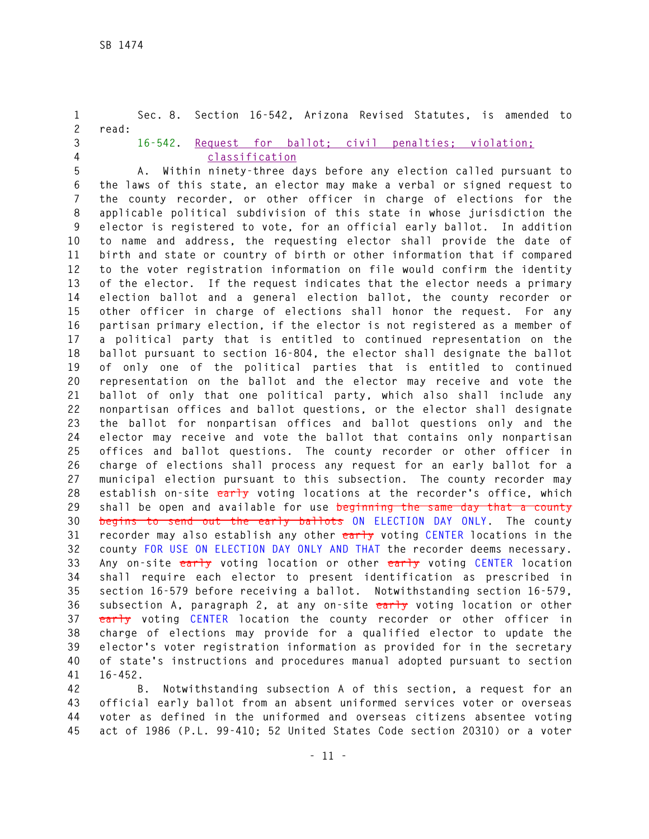**1 Sec. 8. Section 16-542, Arizona Revised Statutes, is amended to 2 read: 3 16-542. Request for ballot; civil penalties; violation; 4 classification 5 A. Within ninety-three days before any election called pursuant to 6 the laws of this state, an elector may make a verbal or signed request to 7 the county recorder, or other officer in charge of elections for the 8 applicable political subdivision of this state in whose jurisdiction the 9 elector is registered to vote, for an official early ballot. In addition 10 to name and address, the requesting elector shall provide the date of 11 birth and state or country of birth or other information that if compared 12 to the voter registration information on file would confirm the identity 13 of the elector. If the request indicates that the elector needs a primary 14 election ballot and a general election ballot, the county recorder or 15 other officer in charge of elections shall honor the request. For any 16 partisan primary election, if the elector is not registered as a member of 17 a political party that is entitled to continued representation on the 18 ballot pursuant to section 16-804, the elector shall designate the ballot 19 of only one of the political parties that is entitled to continued 20 representation on the ballot and the elector may receive and vote the 21 ballot of only that one political party, which also shall include any 22 nonpartisan offices and ballot questions, or the elector shall designate 23 the ballot for nonpartisan offices and ballot questions only and the 24 elector may receive and vote the ballot that contains only nonpartisan 25 offices and ballot questions. The county recorder or other officer in 26 charge of elections shall process any request for an early ballot for a 27 municipal election pursuant to this subsection. The county recorder may 28 establish on-site early voting locations at the recorder's office, which 29 shall be open and available for use beginning the same day that a county 30 begins to send out the early ballots ON ELECTION DAY ONLY. The county 31 recorder may also establish any other early voting CENTER locations in the 32 county FOR USE ON ELECTION DAY ONLY AND THAT the recorder deems necessary. 33 Any on-site early voting location or other early voting CENTER location 34 shall require each elector to present identification as prescribed in 35 section 16-579 before receiving a ballot. Notwithstanding section 16-579, 36 subsection A, paragraph 2, at any on-site early voting location or other 37 early voting CENTER location the county recorder or other officer in 38 charge of elections may provide for a qualified elector to update the 39 elector's voter registration information as provided for in the secretary 40 of state's instructions and procedures manual adopted pursuant to section 41 16-452.** 

**42 B. Notwithstanding subsection A of this section, a request for an 43 official early ballot from an absent uniformed services voter or overseas 44 voter as defined in the uniformed and overseas citizens absentee voting 45 act of 1986 (P.L. 99-410; 52 United States Code section 20310) or a voter**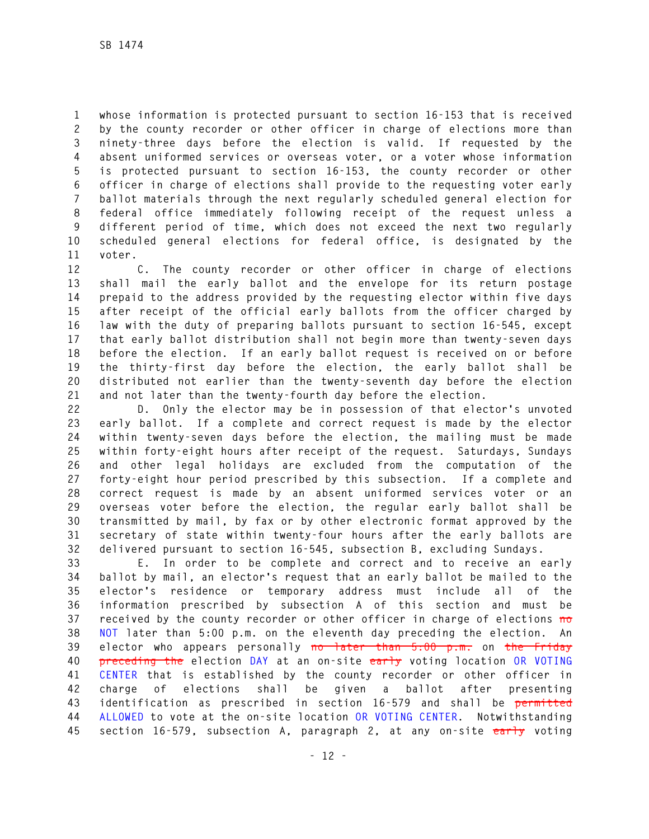**1 whose information is protected pursuant to section 16-153 that is received 2 by the county recorder or other officer in charge of elections more than 3 ninety-three days before the election is valid. If requested by the 4 absent uniformed services or overseas voter, or a voter whose information 5 is protected pursuant to section 16-153, the county recorder or other 6 officer in charge of elections shall provide to the requesting voter early 7 ballot materials through the next regularly scheduled general election for 8 federal office immediately following receipt of the request unless a 9 different period of time, which does not exceed the next two regularly 10 scheduled general elections for federal office, is designated by the 11 voter.** 

**12 C. The county recorder or other officer in charge of elections 13 shall mail the early ballot and the envelope for its return postage 14 prepaid to the address provided by the requesting elector within five days 15 after receipt of the official early ballots from the officer charged by 16 law with the duty of preparing ballots pursuant to section 16-545, except 17 that early ballot distribution shall not begin more than twenty-seven days 18 before the election. If an early ballot request is received on or before 19 the thirty-first day before the election, the early ballot shall be 20 distributed not earlier than the twenty-seventh day before the election 21 and not later than the twenty-fourth day before the election.** 

**22 D. Only the elector may be in possession of that elector's unvoted 23 early ballot. If a complete and correct request is made by the elector 24 within twenty-seven days before the election, the mailing must be made 25 within forty-eight hours after receipt of the request. Saturdays, Sundays 26 and other legal holidays are excluded from the computation of the 27 forty-eight hour period prescribed by this subsection. If a complete and 28 correct request is made by an absent uniformed services voter or an 29 overseas voter before the election, the regular early ballot shall be 30 transmitted by mail, by fax or by other electronic format approved by the 31 secretary of state within twenty-four hours after the early ballots are 32 delivered pursuant to section 16-545, subsection B, excluding Sundays.** 

**33 E. In order to be complete and correct and to receive an early 34 ballot by mail, an elector's request that an early ballot be mailed to the 35 elector's residence or temporary address must include all of the 36 information prescribed by subsection A of this section and must be 37 received by the county recorder or other officer in charge of elections no 38 NOT later than 5:00 p.m. on the eleventh day preceding the election. An 39 elector who appears personally no later than 5:00 p.m. on the Friday 40 preceding the election DAY at an on-site early voting location OR VOTING 41 CENTER that is established by the county recorder or other officer in 42 charge of elections shall be given a ballot after presenting 43 identification as prescribed in section 16-579 and shall be permitted 44 ALLOWED to vote at the on-site location OR VOTING CENTER. Notwithstanding 45 section 16-579, subsection A, paragraph 2, at any on-site early voting**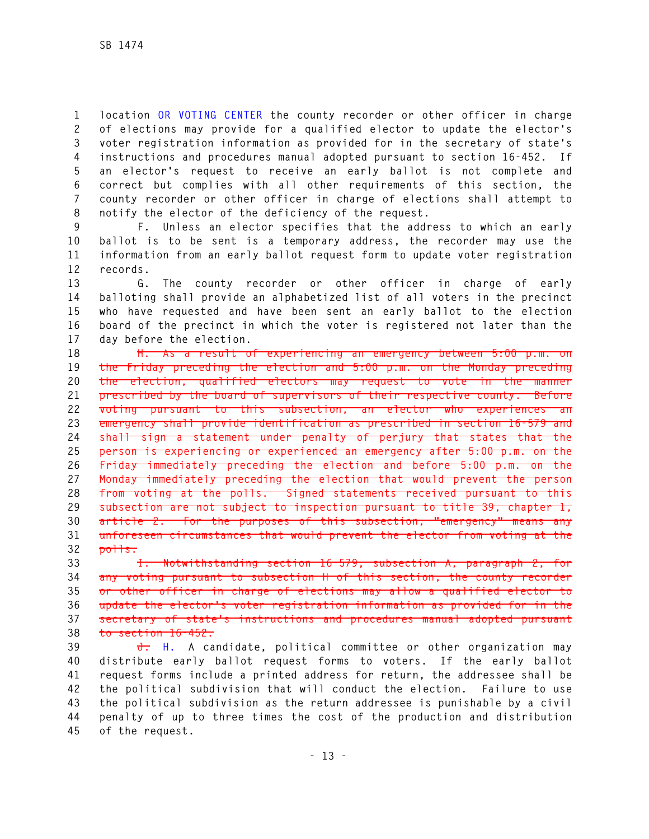**1 location OR VOTING CENTER the county recorder or other officer in charge 2 of elections may provide for a qualified elector to update the elector's 3 voter registration information as provided for in the secretary of state's 4 instructions and procedures manual adopted pursuant to section 16-452. If 5 an elector's request to receive an early ballot is not complete and 6 correct but complies with all other requirements of this section, the 7 county recorder or other officer in charge of elections shall attempt to 8 notify the elector of the deficiency of the request.** 

**9 F. Unless an elector specifies that the address to which an early 10 ballot is to be sent is a temporary address, the recorder may use the 11 information from an early ballot request form to update voter registration 12 records.** 

**13 G. The county recorder or other officer in charge of early 14 balloting shall provide an alphabetized list of all voters in the precinct 15 who have requested and have been sent an early ballot to the election 16 board of the precinct in which the voter is registered not later than the 17 day before the election.** 

**18 H. As a result of experiencing an emergency between 5:00 p.m. on 19 the Friday preceding the election and 5:00 p.m. on the Monday preceding 20 the election, qualified electors may request to vote in the manner 21 prescribed by the board of supervisors of their respective county. Before 22 voting pursuant to this subsection, an elector who experiences an 23 emergency shall provide identification as prescribed in section 16-579 and 24 shall sign a statement under penalty of perjury that states that the 25 person is experiencing or experienced an emergency after 5:00 p.m. on the 26 Friday immediately preceding the election and before 5:00 p.m. on the 27 Monday immediately preceding the election that would prevent the person 28 from voting at the polls. Signed statements received pursuant to this 29 subsection are not subject to inspection pursuant to title 39, chapter 1, 30 article 2. For the purposes of this subsection, "emergency" means any 31 unforeseen circumstances that would prevent the elector from voting at the 32 polls.** 

**33 I. Notwithstanding section 16-579, subsection A, paragraph 2, for 34 any voting pursuant to subsection H of this section, the county recorder 35 or other officer in charge of elections may allow a qualified elector to 36 update the elector's voter registration information as provided for in the 37 secretary of state's instructions and procedures manual adopted pursuant 38 to section 16-452.** 

**39 J. H. A candidate, political committee or other organization may 40 distribute early ballot request forms to voters. If the early ballot 41 request forms include a printed address for return, the addressee shall be 42 the political subdivision that will conduct the election. Failure to use 43 the political subdivision as the return addressee is punishable by a civil 44 penalty of up to three times the cost of the production and distribution 45 of the request.**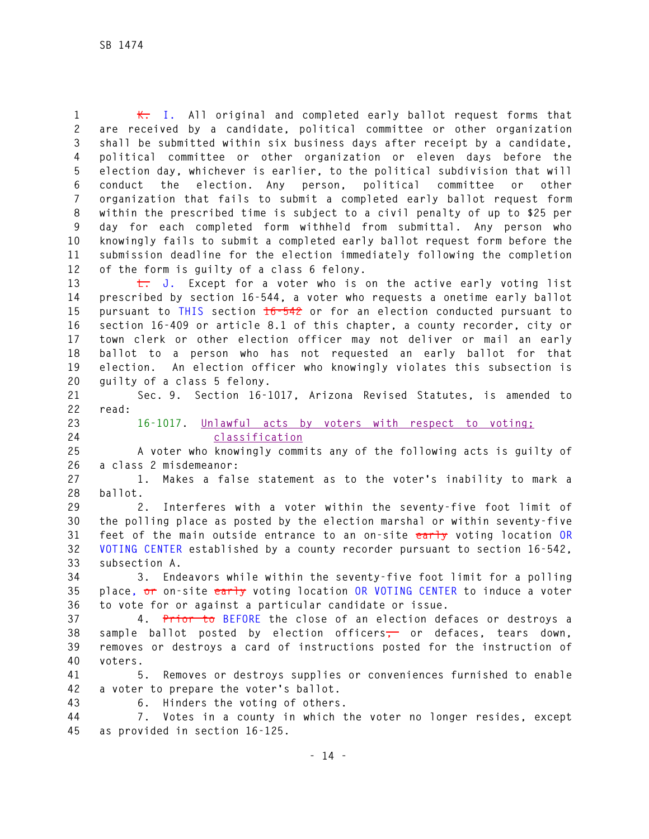**1 K. I. All original and completed early ballot request forms that 2 are received by a candidate, political committee or other organization 3 shall be submitted within six business days after receipt by a candidate, 4 political committee or other organization or eleven days before the 5 election day, whichever is earlier, to the political subdivision that will 6 conduct the election. Any person, political committee or other 7 organization that fails to submit a completed early ballot request form 8 within the prescribed time is subject to a civil penalty of up to \$25 per 9 day for each completed form withheld from submittal. Any person who 10 knowingly fails to submit a completed early ballot request form before the 11 submission deadline for the election immediately following the completion 12 of the form is guilty of a class 6 felony.** 

**13 L. J. Except for a voter who is on the active early voting list 14 prescribed by section 16-544, a voter who requests a onetime early ballot 15 pursuant to THIS section 16-542 or for an election conducted pursuant to 16 section 16-409 or article 8.1 of this chapter, a county recorder, city or 17 town clerk or other election officer may not deliver or mail an early 18 ballot to a person who has not requested an early ballot for that 19 election. An election officer who knowingly violates this subsection is 20 guilty of a class 5 felony.** 

**21 Sec. 9. Section 16-1017, Arizona Revised Statutes, is amended to 22 read:** 

**23 16-1017. Unlawful acts by voters with respect to voting; 24 classification**

**25 A voter who knowingly commits any of the following acts is guilty of 26 a class 2 misdemeanor:** 

**27 1. Makes a false statement as to the voter's inability to mark a 28 ballot.** 

**29 2. Interferes with a voter within the seventy-five foot limit of 30 the polling place as posted by the election marshal or within seventy-five 31 feet of the main outside entrance to an on-site early voting location OR 32 VOTING CENTER established by a county recorder pursuant to section 16-542, 33 subsection A.** 

**34 3. Endeavors while within the seventy-five foot limit for a polling 35 place, or on-site early voting location OR VOTING CENTER to induce a voter 36 to vote for or against a particular candidate or issue.** 

**37 4. Prior to BEFORE the close of an election defaces or destroys a 38 sample ballot posted by election officers, or defaces, tears down, 39 removes or destroys a card of instructions posted for the instruction of 40 voters.** 

**41 5. Removes or destroys supplies or conveniences furnished to enable 42 a voter to prepare the voter's ballot.** 

**43 6. Hinders the voting of others.** 

**44 7. Votes in a county in which the voter no longer resides, except 45 as provided in section 16-125.**